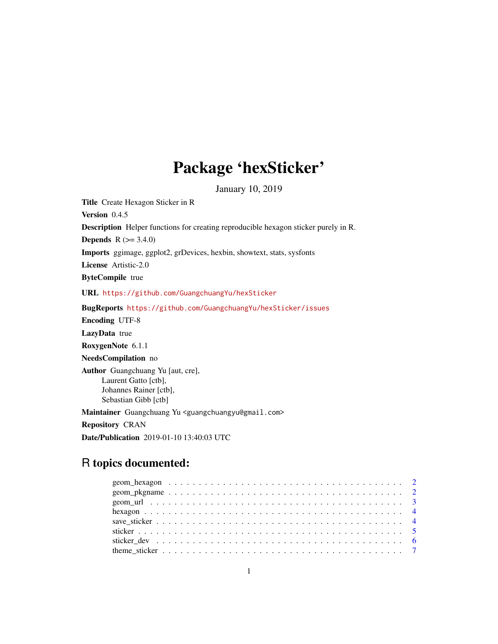# Package 'hexSticker'

January 10, 2019

Title Create Hexagon Sticker in R Version 0.4.5 Description Helper functions for creating reproducible hexagon sticker purely in R. **Depends**  $R (= 3.4.0)$ Imports ggimage, ggplot2, grDevices, hexbin, showtext, stats, sysfonts License Artistic-2.0 ByteCompile true URL <https://github.com/GuangchuangYu/hexSticker> BugReports <https://github.com/GuangchuangYu/hexSticker/issues> Encoding UTF-8 LazyData true RoxygenNote 6.1.1 NeedsCompilation no Author Guangchuang Yu [aut, cre], Laurent Gatto [ctb], Johannes Rainer [ctb], Sebastian Gibb [ctb] Maintainer Guangchuang Yu <guangchuangyu@gmail.com> Repository CRAN Date/Publication 2019-01-10 13:40:03 UTC

# R topics documented: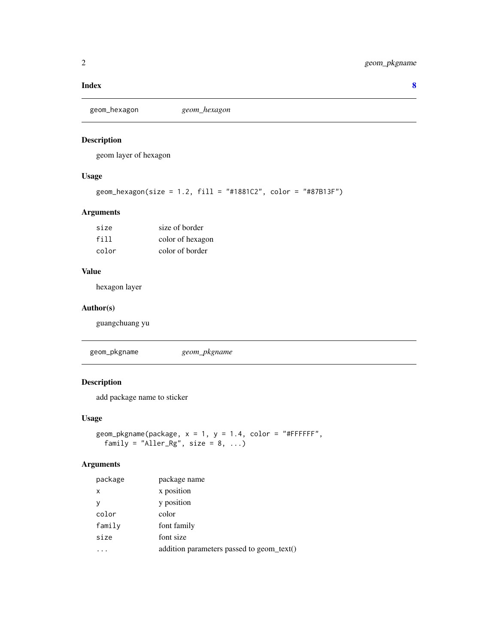#### <span id="page-1-0"></span>**Index** [8](#page-7-0) **8**

```
geom_hexagon geom_hexagon
```
# Description

geom layer of hexagon

# Usage

```
geom_hexagon(size = 1.2, fill = "#1881C2", color = "#87B13F")
```
# Arguments

| size  | size of border   |
|-------|------------------|
| fill  | color of hexagon |
| color | color of border  |

#### Value

hexagon layer

# Author(s)

guangchuang yu

geom\_pkgname *geom\_pkgname*

# Description

add package name to sticker

# Usage

```
geom_pkgname(package, x = 1, y = 1.4, color = "#FFFFFF",
 family = "Aller_Rg", size = 8, ...)
```
# Arguments

| package  | package name                              |
|----------|-------------------------------------------|
| $\times$ | x position                                |
| v        | y position                                |
| color    | color                                     |
| family   | font family                               |
| size     | font size                                 |
|          | addition parameters passed to geom_text() |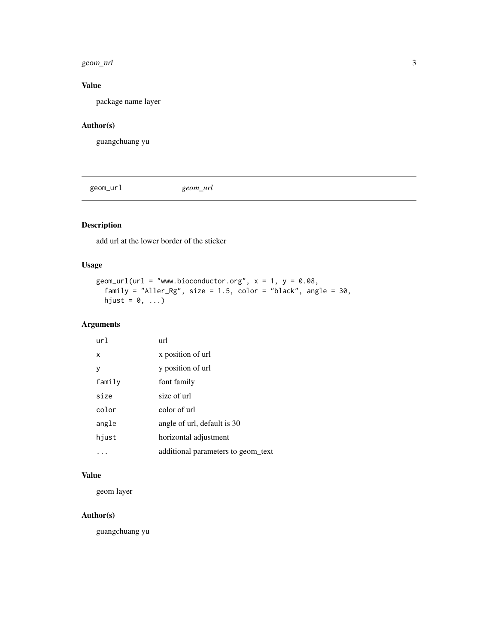#### <span id="page-2-0"></span>geom\_url 3

# Value

package name layer

# Author(s)

guangchuang yu

geom\_url *geom\_url*

# Description

add url at the lower border of the sticker

# Usage

```
geom\_url(url = "www.bioconductor.org", x = 1, y = 0.08,family = "Aller_Rg", size = 1.5, color = "black", angle = 30,
  hjust = 0, \ldots)
```
# Arguments

| url    | url                                |
|--------|------------------------------------|
| X      | x position of url                  |
| y      | y position of url                  |
| family | font family                        |
| size   | size of url                        |
| color  | color of url                       |
| angle  | angle of url, default is 30        |
| hjust  | horizontal adjustment              |
|        | additional parameters to geom text |

# Value

geom layer

#### Author(s)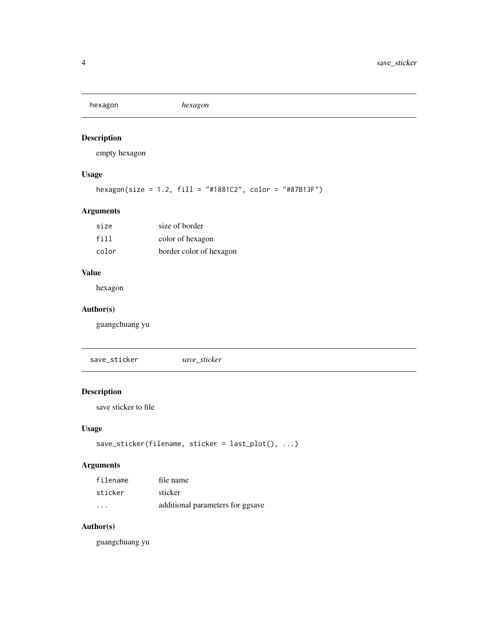<span id="page-3-0"></span>hexagon *hexagon*

# Description

empty hexagon

# Usage

```
hexagon(size = 1.2, fill = "#1881C2", color = "#87B13F")
```
# Arguments

| size  | size of border          |
|-------|-------------------------|
| fill  | color of hexagon        |
| color | border color of hexagon |

#### Value

hexagon

# Author(s)

guangchuang yu

save\_sticker *save\_sticker*

# Description

save sticker to file

# Usage

```
save_sticker(filename, sticker = last_plot(), ...)
```
# Arguments

| filename  | file name                        |
|-----------|----------------------------------|
| sticker   | sticker                          |
| $\ddotsc$ | additional parameters for ggsave |

# Author(s)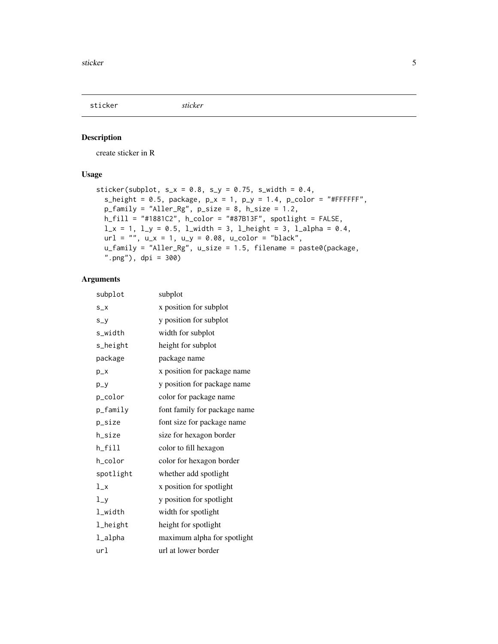<span id="page-4-0"></span>

#### Description

create sticker in R

# Usage

```
sticker(subplot, s_x = 0.8, s_y = 0.75, s_width = 0.4,
  s_height = 0.5, package, p_x = 1, p_y = 1.4, p_color = "#FFFFFF",
 p_family = "Aller_Rg", p_size = 8, h_size = 1.2,
 h_fill = "#1881C2", h_color = "#87B13F", spotlight = FALSE,
 l_x = 1, l_y = 0.5, l_width = 3, l_helght = 3, l_aplha = 0.4,
 url = "", u_x = 1, u_y = 0.08, u_color = "black",u_family = "Aller_Rg", u_size = 1.5, filename = paste0(package,
  ".png"), dpi = 300)
```
#### Arguments

| subplot   | subplot                      |
|-----------|------------------------------|
| $S_{X}$   | x position for subplot       |
| $S_y$     | y position for subplot       |
| s_width   | width for subplot            |
| s_height  | height for subplot           |
| package   | package name                 |
| $p_{X}$   | x position for package name  |
| $p_y$     | y position for package name  |
| p_color   | color for package name       |
| p_family  | font family for package name |
| p_size    | font size for package name   |
| h_size    | size for hexagon border      |
| h_fill    | color to fill hexagon        |
| h_color   | color for hexagon border     |
| spotlight | whether add spotlight        |
| $1_x$     | x position for spotlight     |
| $1_y$     | y position for spotlight     |
| l_width   | width for spotlight          |
| 1_height  | height for spotlight         |
| l_alpha   | maximum alpha for spotlight  |
| url       | url at lower border          |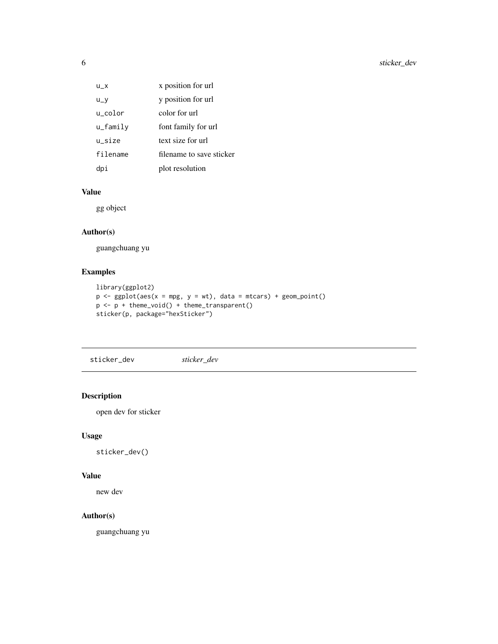<span id="page-5-0"></span>

| $U_X$          | x position for url       |
|----------------|--------------------------|
| $u_y$          | y position for url       |
| u_color        | color for url            |
| $u_{-}$ family | font family for url      |
| u size         | text size for url        |
| filename       | filename to save sticker |
|                | plot resolution          |

# Value

gg object

# Author(s)

guangchuang yu

# Examples

```
library(ggplot2)
p \leftarrow ggplot(aes(x = mp, y = wt), data = mtcars) + geom\_point()p <- p + theme_void() + theme_transparent()
sticker(p, package="hexSticker")
```
sticker\_dev *sticker\_dev*

# Description

open dev for sticker

# Usage

sticker\_dev()

# Value

new dev

#### Author(s)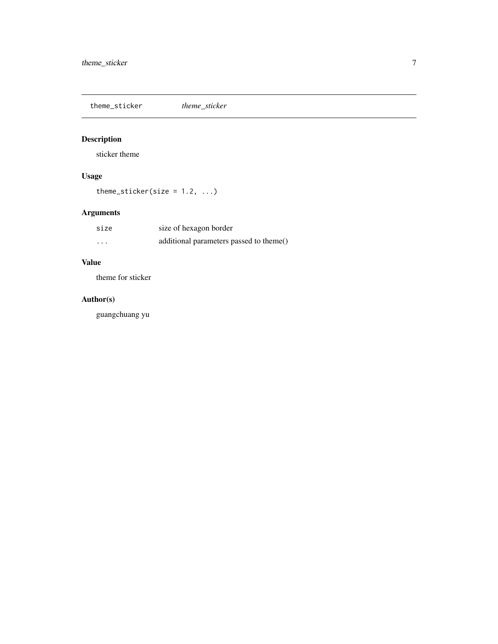<span id="page-6-0"></span>theme\_sticker *theme\_sticker*

# Description

sticker theme

# Usage

theme\_sticker(size =  $1.2, ...$ )

# Arguments

| size     | size of hexagon border                  |
|----------|-----------------------------------------|
| $\cdots$ | additional parameters passed to theme() |

# Value

theme for sticker

# Author(s)